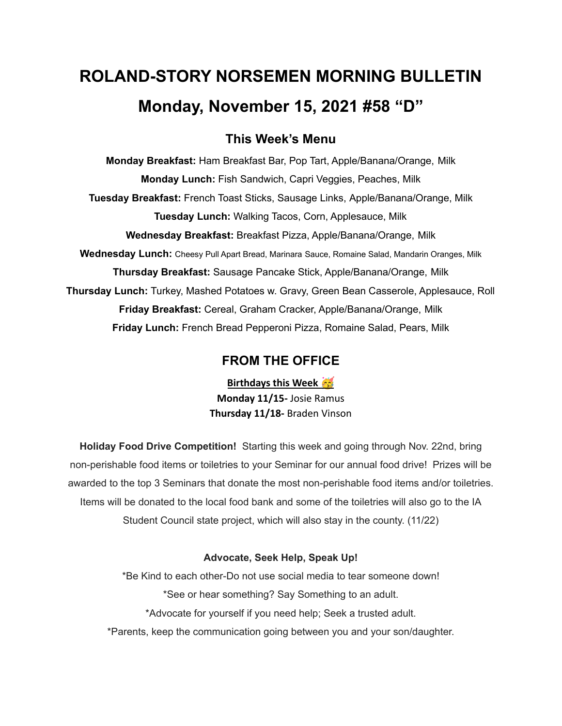# **ROLAND-STORY NORSEMEN MORNING BULLETIN Monday, November 15, 2021 #58 "D"**

# **This Week's Menu**

**Monday Breakfast:** Ham Breakfast Bar, Pop Tart, Apple/Banana/Orange, Milk **Monday Lunch:** Fish Sandwich, Capri Veggies, Peaches, Milk **Tuesday Breakfast:** French Toast Sticks, Sausage Links, Apple/Banana/Orange, Milk **Tuesday Lunch:** Walking Tacos, Corn, Applesauce, Milk **Wednesday Breakfast:** Breakfast Pizza, Apple/Banana/Orange, Milk **Wednesday Lunch:** Cheesy Pull Apart Bread, Marinara Sauce, Romaine Salad, Mandarin Oranges, Milk **Thursday Breakfast:** Sausage Pancake Stick, Apple/Banana/Orange, Milk **Thursday Lunch:** Turkey, Mashed Potatoes w. Gravy, Green Bean Casserole, Applesauce, Roll **Friday Breakfast:** Cereal, Graham Cracker, Apple/Banana/Orange, Milk **Friday Lunch:** French Bread Pepperoni Pizza, Romaine Salad, Pears, Milk

# **FROM THE OFFICE**

**Birthdays this Week Monday 11/15-** Josie Ramus **Thursday 11/18-** Braden Vinson

**Holiday Food Drive Competition!** Starting this week and going through Nov. 22nd, bring non-perishable food items or toiletries to your Seminar for our annual food drive! Prizes will be awarded to the top 3 Seminars that donate the most non-perishable food items and/or toiletries. Items will be donated to the local food bank and some of the toiletries will also go to the IA Student Council state project, which will also stay in the county. (11/22)

### **Advocate, Seek Help, Speak Up!**

\*Be Kind to each other-Do not use social media to tear someone down! \*See or hear something? Say Something to an adult. \*Advocate for yourself if you need help; Seek a trusted adult. \*Parents, keep the communication going between you and your son/daughter.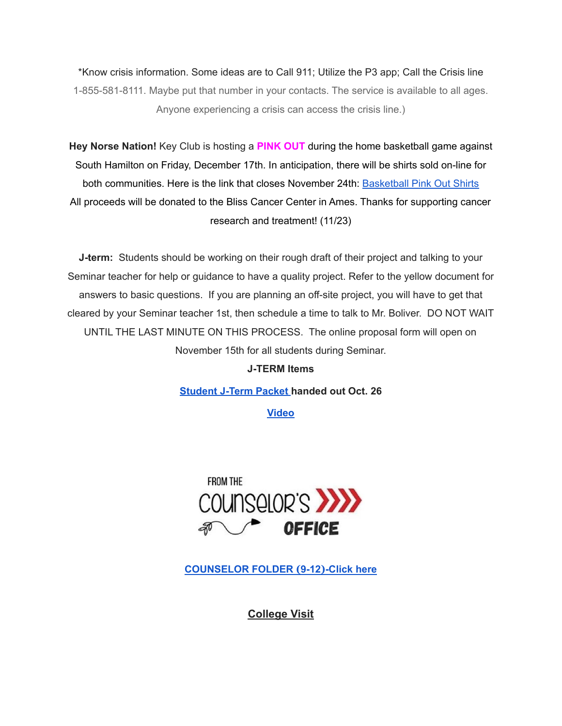\*Know crisis information. Some ideas are to Call 911; Utilize the P3 app; Call the Crisis line 1-855-581-8111. Maybe put that number in your contacts. The service is available to all ages. Anyone experiencing a crisis can access the crisis line.)

**Hey Norse Nation!** Key Club is hosting a **PINK OUT** during the home basketball game against South Hamilton on Friday, December 17th. In anticipation, there will be shirts sold on-line for both communities. Here is the link that closes November 24th: **[Basketball](https://rsshcvc21.itemorder.com/shop/sale/?saleCode=VJQ3K) Pink Out Shirts** All proceeds will be donated to the Bliss Cancer Center in Ames. Thanks for supporting cancer research and treatment! (11/23)

**J-term:** Students should be working on their rough draft of their project and talking to your Seminar teacher for help or guidance to have a quality project. Refer to the yellow document for answers to basic questions. If you are planning an off-site project, you will have to get that cleared by your Seminar teacher 1st, then schedule a time to talk to Mr. Boliver. DO NOT WAIT UNTIL THE LAST MINUTE ON THIS PROCESS. The online proposal form will open on November 15th for all students during Seminar.

#### **J-TERM Items**

**[Student](https://drive.google.com/file/d/1h6QugcDvlDevR3f9EywbUQrqVqyCPD5n/view?usp=sharing) J-Term Packet handed out Oct. 26**

**[Video](https://drive.google.com/file/d/1-IjAQRz891m66mXs_V_s9qC8_1HN0Jw_/view?usp=sharing)**



**[COUNSELOR](https://docs.google.com/document/d/1vmwczNPbDzXe9vFaG5LJMQ7NYDv-i4oQJHybqA65TUc/edit?usp=sharing) FOLDER (9-12)-Click here**

**College Visit**